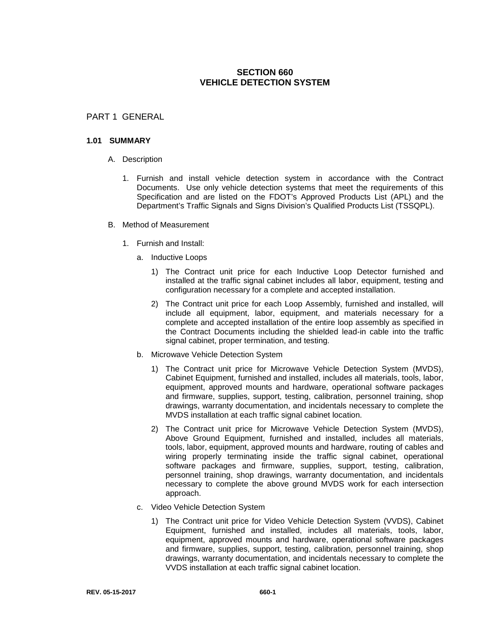# **SECTION 660 VEHICLE DETECTION SYSTEM**

# PART 1 GENERAL

# **1.01 SUMMARY**

- A. Description
	- 1. Furnish and install vehicle detection system in accordance with the Contract Documents. Use only vehicle detection systems that meet the requirements of this Specification and are listed on the FDOT's Approved Products List (APL) and the Department's Traffic Signals and Signs Division's Qualified Products List (TSSQPL).
- B. Method of Measurement
	- 1. Furnish and Install:
		- a. Inductive Loops
			- 1) The Contract unit price for each Inductive Loop Detector furnished and installed at the traffic signal cabinet includes all labor, equipment, testing and configuration necessary for a complete and accepted installation.
			- 2) The Contract unit price for each Loop Assembly, furnished and installed, will include all equipment, labor, equipment, and materials necessary for a complete and accepted installation of the entire loop assembly as specified in the Contract Documents including the shielded lead-in cable into the traffic signal cabinet, proper termination, and testing.
		- b. Microwave Vehicle Detection System
			- 1) The Contract unit price for Microwave Vehicle Detection System (MVDS), Cabinet Equipment, furnished and installed, includes all materials, tools, labor, equipment, approved mounts and hardware, operational software packages and firmware, supplies, support, testing, calibration, personnel training, shop drawings, warranty documentation, and incidentals necessary to complete the MVDS installation at each traffic signal cabinet location.
			- 2) The Contract unit price for Microwave Vehicle Detection System (MVDS), Above Ground Equipment, furnished and installed, includes all materials, tools, labor, equipment, approved mounts and hardware, routing of cables and wiring properly terminating inside the traffic signal cabinet, operational software packages and firmware, supplies, support, testing, calibration, personnel training, shop drawings, warranty documentation, and incidentals necessary to complete the above ground MVDS work for each intersection approach.
		- c. Video Vehicle Detection System
			- 1) The Contract unit price for Video Vehicle Detection System (VVDS), Cabinet Equipment, furnished and installed, includes all materials, tools, labor, equipment, approved mounts and hardware, operational software packages and firmware, supplies, support, testing, calibration, personnel training, shop drawings, warranty documentation, and incidentals necessary to complete the VVDS installation at each traffic signal cabinet location.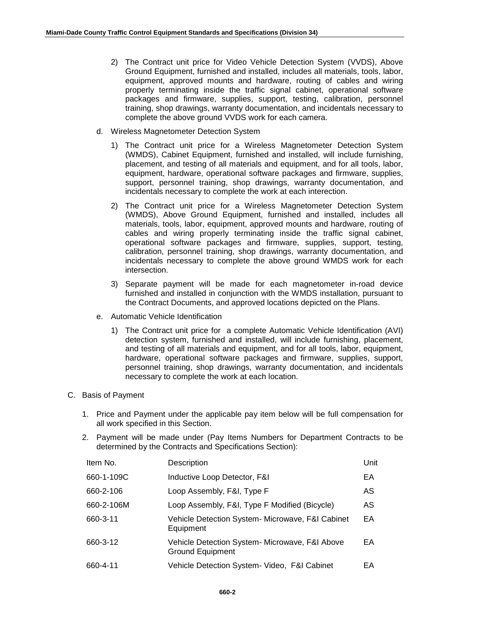- 2) The Contract unit price for Video Vehicle Detection System (VVDS), Above Ground Equipment, furnished and installed, includes all materials, tools, labor, equipment, approved mounts and hardware, routing of cables and wiring properly terminating inside the traffic signal cabinet, operational software packages and firmware, supplies, support, testing, calibration, personnel training, shop drawings, warranty documentation, and incidentals necessary to complete the above ground VVDS work for each camera.
- d. Wireless Magnetometer Detection System
	- 1) The Contract unit price for a Wireless Magnetometer Detection System (WMDS), Cabinet Equipment, furnished and installed, will include furnishing, placement, and testing of all materials and equipment, and for all tools, labor, equipment, hardware, operational software packages and firmware, supplies, support, personnel training, shop drawings, warranty documentation, and incidentals necessary to complete the work at each interection.
	- 2) The Contract unit price for a Wireless Magnetometer Detection System (WMDS), Above Ground Equipment, furnished and installed, includes all materials, tools, labor, equipment, approved mounts and hardware, routing of cables and wiring properly terminating inside the traffic signal cabinet, operational software packages and firmware, supplies, support, testing, calibration, personnel training, shop drawings, warranty documentation, and incidentals necessary to complete the above ground WMDS work for each intersection.
	- 3) Separate payment will be made for each magnetometer in-road device furnished and installed in conjunction with the WMDS installation, pursuant to the Contract Documents, and approved locations depicted on the Plans.
- e. Automatic Vehicle Identification
	- 1) The Contract unit price for a complete Automatic Vehicle Identification (AVI) detection system, furnished and installed, will include furnishing, placement, and testing of all materials and equipment, and for all tools, labor, equipment, hardware, operational software packages and firmware, supplies, support, personnel training, shop drawings, warranty documentation, and incidentals necessary to complete the work at each location.

### C. Basis of Payment

- 1. Price and Payment under the applicable pay item below will be full compensation for all work specified in this Section.
- 2. Payment will be made under (Pay Items Numbers for Department Contracts to be determined by the Contracts and Specifications Section):

| Item No.   | Description                                                               | Unit |
|------------|---------------------------------------------------------------------------|------|
| 660-1-109C | Inductive Loop Detector, F&I                                              | EA   |
| 660-2-106  | Loop Assembly, F&I, Type F                                                | AS   |
| 660-2-106M | Loop Assembly, F&I, Type F Modified (Bicycle)                             | AS   |
| 660-3-11   | Vehicle Detection System- Microwave, F&I Cabinet<br>Equipment             | EA   |
| 660-3-12   | Vehicle Detection System- Microwave, F&I Above<br><b>Ground Equipment</b> | EA   |
| 660-4-11   | Vehicle Detection System- Video, F&I Cabinet                              | EА   |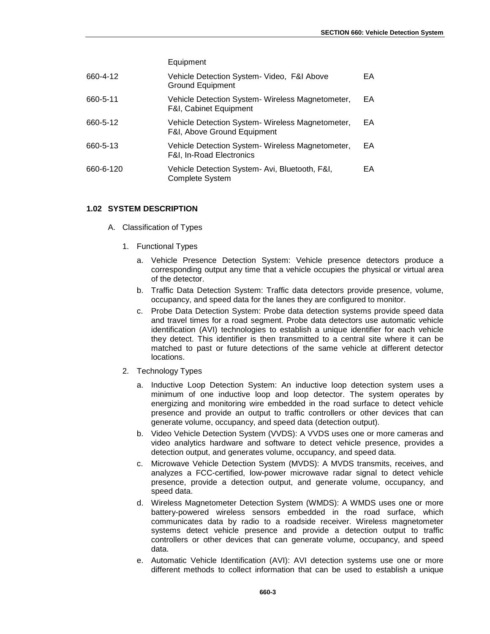Equipment

| 660-4-12  | Vehicle Detection System- Video, F&I Above<br><b>Ground Equipment</b>                     | EA |
|-----------|-------------------------------------------------------------------------------------------|----|
| 660-5-11  | Vehicle Detection System-Wireless Magnetometer,<br><b>F&amp;I, Cabinet Equipment</b>      | EA |
| 660-5-12  | Vehicle Detection System-Wireless Magnetometer,<br><b>F&amp;I, Above Ground Equipment</b> | EA |
| 660-5-13  | Vehicle Detection System- Wireless Magnetometer,<br>F&I, In-Road Electronics              | EA |
| 660-6-120 | Vehicle Detection System- Avi, Bluetooth, F&I,<br>Complete System                         | EA |

# **1.02 SYSTEM DESCRIPTION**

- A. Classification of Types
	- 1. Functional Types
		- a. Vehicle Presence Detection System: Vehicle presence detectors produce a corresponding output any time that a vehicle occupies the physical or virtual area of the detector.
		- b. Traffic Data Detection System: Traffic data detectors provide presence, volume, occupancy, and speed data for the lanes they are configured to monitor.
		- c. Probe Data Detection System: Probe data detection systems provide speed data and travel times for a road segment. Probe data detectors use automatic vehicle identification (AVI) technologies to establish a unique identifier for each vehicle they detect. This identifier is then transmitted to a central site where it can be matched to past or future detections of the same vehicle at different detector locations.
	- 2. Technology Types
		- a. Inductive Loop Detection System: An inductive loop detection system uses a minimum of one inductive loop and loop detector. The system operates by energizing and monitoring wire embedded in the road surface to detect vehicle presence and provide an output to traffic controllers or other devices that can generate volume, occupancy, and speed data (detection output).
		- b. Video Vehicle Detection System (VVDS): A VVDS uses one or more cameras and video analytics hardware and software to detect vehicle presence, provides a detection output, and generates volume, occupancy, and speed data.
		- c. Microwave Vehicle Detection System (MVDS): A MVDS transmits, receives, and analyzes a FCC-certified, low-power microwave radar signal to detect vehicle presence, provide a detection output, and generate volume, occupancy, and speed data.
		- d. Wireless Magnetometer Detection System (WMDS): A WMDS uses one or more battery-powered wireless sensors embedded in the road surface, which communicates data by radio to a roadside receiver. Wireless magnetometer systems detect vehicle presence and provide a detection output to traffic controllers or other devices that can generate volume, occupancy, and speed data.
		- e. Automatic Vehicle Identification (AVI): AVI detection systems use one or more different methods to collect information that can be used to establish a unique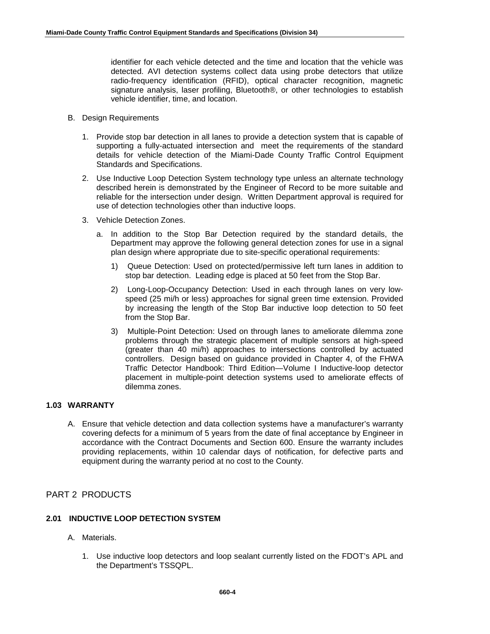identifier for each vehicle detected and the time and location that the vehicle was detected. AVI detection systems collect data using probe detectors that utilize radio-frequency identification (RFID), optical character recognition, magnetic signature analysis, laser profiling, Bluetooth®, or other technologies to establish vehicle identifier, time, and location.

- B. Design Requirements
	- 1. Provide stop bar detection in all lanes to provide a detection system that is capable of supporting a fully-actuated intersection and meet the requirements of the standard details for vehicle detection of the Miami-Dade County Traffic Control Equipment Standards and Specifications.
	- 2. Use Inductive Loop Detection System technology type unless an alternate technology described herein is demonstrated by the Engineer of Record to be more suitable and reliable for the intersection under design. Written Department approval is required for use of detection technologies other than inductive loops.
	- 3. Vehicle Detection Zones.
		- a. In addition to the Stop Bar Detection required by the standard details, the Department may approve the following general detection zones for use in a signal plan design where appropriate due to site-specific operational requirements:
			- 1) Queue Detection: Used on protected/permissive left turn lanes in addition to stop bar detection. Leading edge is placed at 50 feet from the Stop Bar.
			- 2) Long-Loop-Occupancy Detection: Used in each through lanes on very lowspeed (25 mi/h or less) approaches for signal green time extension. Provided by increasing the length of the Stop Bar inductive loop detection to 50 feet from the Stop Bar.
			- 3) Multiple-Point Detection: Used on through lanes to ameliorate dilemma zone problems through the strategic placement of multiple sensors at high-speed (greater than 40 mi/h) approaches to intersections controlled by actuated controllers. Design based on guidance provided in Chapter 4, of the FHWA Traffic Detector Handbook: Third Edition—Volume I Inductive-loop detector placement in multiple-point detection systems used to ameliorate effects of dilemma zones.

# **1.03 WARRANTY**

A. Ensure that vehicle detection and data collection systems have a manufacturer's warranty covering defects for a minimum of 5 years from the date of final acceptance by Engineer in accordance with the Contract Documents and Section 600. Ensure the warranty includes providing replacements, within 10 calendar days of notification, for defective parts and equipment during the warranty period at no cost to the County.

# PART 2 PRODUCTS

# **2.01 INDUCTIVE LOOP DETECTION SYSTEM**

- A. Materials.
	- 1. Use inductive loop detectors and loop sealant currently listed on the FDOT's APL and the Department's TSSQPL.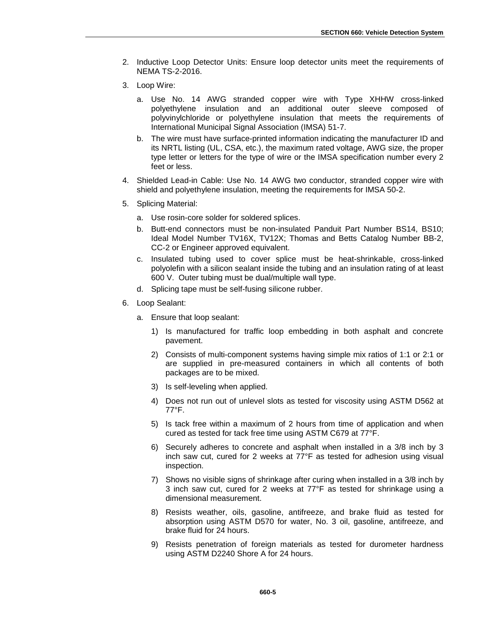- 2. Inductive Loop Detector Units: Ensure loop detector units meet the requirements of NEMA TS-2-2016.
- 3. Loop Wire:
	- a. Use No. 14 AWG stranded copper wire with Type XHHW cross-linked polyethylene insulation and an additional outer sleeve composed of polyvinylchloride or polyethylene insulation that meets the requirements of International Municipal Signal Association (IMSA) 51-7.
	- b. The wire must have surface-printed information indicating the manufacturer ID and its NRTL listing (UL, CSA, etc.), the maximum rated voltage, AWG size, the proper type letter or letters for the type of wire or the IMSA specification number every 2 feet or less.
- 4. Shielded Lead-in Cable: Use No. 14 AWG two conductor, stranded copper wire with shield and polyethylene insulation, meeting the requirements for IMSA 50-2.
- 5. Splicing Material:
	- a. Use rosin-core solder for soldered splices.
	- b. Butt-end connectors must be non-insulated Panduit Part Number BS14, BS10; Ideal Model Number TV16X, TV12X; Thomas and Betts Catalog Number BB-2, CC-2 or Engineer approved equivalent.
	- c. Insulated tubing used to cover splice must be heat-shrinkable, cross-linked polyolefin with a silicon sealant inside the tubing and an insulation rating of at least 600 V. Outer tubing must be dual/multiple wall type.
	- d. Splicing tape must be self-fusing silicone rubber.
- 6. Loop Sealant:
	- a. Ensure that loop sealant:
		- 1) Is manufactured for traffic loop embedding in both asphalt and concrete pavement.
		- 2) Consists of multi-component systems having simple mix ratios of 1:1 or 2:1 or are supplied in pre-measured containers in which all contents of both packages are to be mixed.
		- 3) Is self-leveling when applied.
		- 4) Does not run out of unlevel slots as tested for viscosity using ASTM D562 at 77°F.
		- 5) Is tack free within a maximum of 2 hours from time of application and when cured as tested for tack free time using ASTM C679 at 77°F.
		- 6) Securely adheres to concrete and asphalt when installed in a 3/8 inch by 3 inch saw cut, cured for 2 weeks at 77°F as tested for adhesion using visual inspection.
		- 7) Shows no visible signs of shrinkage after curing when installed in a 3/8 inch by 3 inch saw cut, cured for 2 weeks at 77°F as tested for shrinkage using a dimensional measurement.
		- 8) Resists weather, oils, gasoline, antifreeze, and brake fluid as tested for absorption using ASTM D570 for water, No. 3 oil, gasoline, antifreeze, and brake fluid for 24 hours.
		- 9) Resists penetration of foreign materials as tested for durometer hardness using ASTM D2240 Shore A for 24 hours.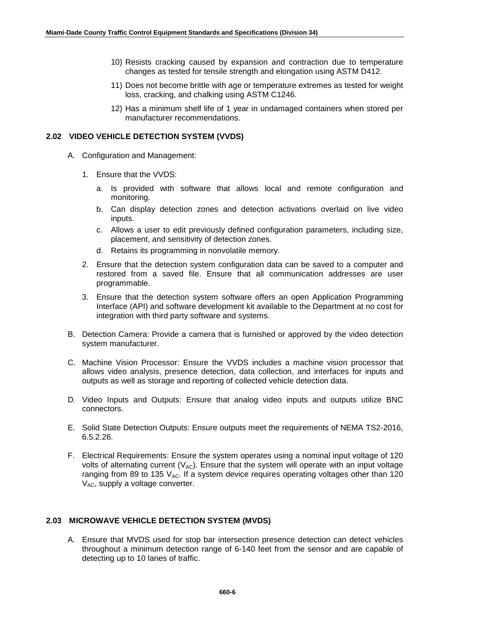- 10) Resists cracking caused by expansion and contraction due to temperature changes as tested for tensile strength and elongation using ASTM D412.
- 11) Does not become brittle with age or temperature extremes as tested for weight loss, cracking, and chalking using ASTM C1246.
- 12) Has a minimum shelf life of 1 year in undamaged containers when stored per manufacturer recommendations.

# **2.02 VIDEO VEHICLE DETECTION SYSTEM (VVDS)**

- A. Configuration and Management:
	- 1. Ensure that the VVDS:
		- a. Is provided with software that allows local and remote configuration and monitoring.
		- b. Can display detection zones and detection activations overlaid on live video inputs.
		- c. Allows a user to edit previously defined configuration parameters, including size, placement, and sensitivity of detection zones.
		- d. Retains its programming in nonvolatile memory.
	- 2. Ensure that the detection system configuration data can be saved to a computer and restored from a saved file. Ensure that all communication addresses are user programmable.
	- 3. Ensure that the detection system software offers an open Application Programming Interface (API) and software development kit available to the Department at no cost for integration with third party software and systems.
- B. Detection Camera: Provide a camera that is furnished or approved by the video detection system manufacturer.
- C. Machine Vision Processor: Ensure the VVDS includes a machine vision processor that allows video analysis, presence detection, data collection, and interfaces for inputs and outputs as well as storage and reporting of collected vehicle detection data.
- D. Video Inputs and Outputs: Ensure that analog video inputs and outputs utilize BNC connectors.
- E. Solid State Detection Outputs: Ensure outputs meet the requirements of NEMA TS2-2016, 6.5.2.26.
- F. Electrical Requirements: Ensure the system operates using a nominal input voltage of 120 volts of alternating current ( $V_{AC}$ ). Ensure that the system will operate with an input voltage ranging from 89 to 135  $V_{AC}$ . If a system device requires operating voltages other than 120  $V_{AC}$ , supply a voltage converter.

### **2.03 MICROWAVE VEHICLE DETECTION SYSTEM (MVDS)**

A. Ensure that MVDS used for stop bar intersection presence detection can detect vehicles throughout a minimum detection range of 6-140 feet from the sensor and are capable of detecting up to 10 lanes of traffic.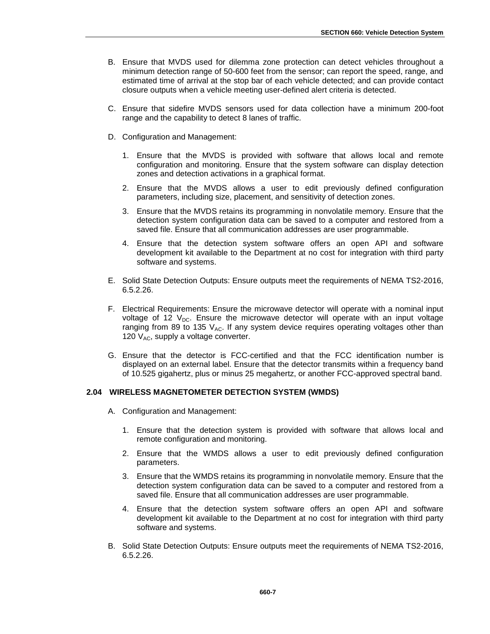- B. Ensure that MVDS used for dilemma zone protection can detect vehicles throughout a minimum detection range of 50-600 feet from the sensor; can report the speed, range, and estimated time of arrival at the stop bar of each vehicle detected; and can provide contact closure outputs when a vehicle meeting user-defined alert criteria is detected.
- C. Ensure that sidefire MVDS sensors used for data collection have a minimum 200-foot range and the capability to detect 8 lanes of traffic.
- D. Configuration and Management:
	- 1. Ensure that the MVDS is provided with software that allows local and remote configuration and monitoring. Ensure that the system software can display detection zones and detection activations in a graphical format.
	- 2. Ensure that the MVDS allows a user to edit previously defined configuration parameters, including size, placement, and sensitivity of detection zones.
	- 3. Ensure that the MVDS retains its programming in nonvolatile memory. Ensure that the detection system configuration data can be saved to a computer and restored from a saved file. Ensure that all communication addresses are user programmable.
	- 4. Ensure that the detection system software offers an open API and software development kit available to the Department at no cost for integration with third party software and systems.
- E. Solid State Detection Outputs: Ensure outputs meet the requirements of NEMA TS2-2016, 6.5.2.26.
- F. Electrical Requirements: Ensure the microwave detector will operate with a nominal input voltage of 12  $V_{\text{DC}}$ . Ensure the microwave detector will operate with an input voltage ranging from 89 to 135  $V_{AC}$ . If any system device requires operating voltages other than 120  $V_{AC}$ , supply a voltage converter.
- G. Ensure that the detector is FCC-certified and that the FCC identification number is displayed on an external label. Ensure that the detector transmits within a frequency band of 10.525 gigahertz, plus or minus 25 megahertz, or another FCC-approved spectral band.

# **2.04 WIRELESS MAGNETOMETER DETECTION SYSTEM (WMDS)**

- A. Configuration and Management:
	- 1. Ensure that the detection system is provided with software that allows local and remote configuration and monitoring.
	- 2. Ensure that the WMDS allows a user to edit previously defined configuration parameters.
	- 3. Ensure that the WMDS retains its programming in nonvolatile memory. Ensure that the detection system configuration data can be saved to a computer and restored from a saved file. Ensure that all communication addresses are user programmable.
	- 4. Ensure that the detection system software offers an open API and software development kit available to the Department at no cost for integration with third party software and systems.
- B. Solid State Detection Outputs: Ensure outputs meet the requirements of NEMA TS2-2016, 6.5.2.26.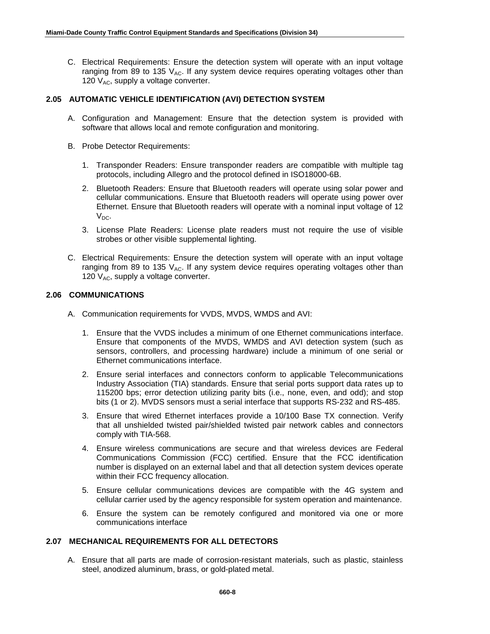C. Electrical Requirements: Ensure the detection system will operate with an input voltage ranging from 89 to 135  $V_{AC}$ . If any system device requires operating voltages other than 120  $V_{AC}$ , supply a voltage converter.

# **2.05 AUTOMATIC VEHICLE IDENTIFICATION (AVI) DETECTION SYSTEM**

- A. Configuration and Management: Ensure that the detection system is provided with software that allows local and remote configuration and monitoring.
- B. Probe Detector Requirements:
	- 1. Transponder Readers: Ensure transponder readers are compatible with multiple tag protocols, including Allegro and the protocol defined in ISO18000-6B.
	- 2. Bluetooth Readers: Ensure that Bluetooth readers will operate using solar power and cellular communications. Ensure that Bluetooth readers will operate using power over Ethernet. Ensure that Bluetooth readers will operate with a nominal input voltage of 12  $V_{DC}$ .
	- 3. License Plate Readers: License plate readers must not require the use of visible strobes or other visible supplemental lighting.
- C. Electrical Requirements: Ensure the detection system will operate with an input voltage ranging from 89 to 135  $V_{AC}$ . If any system device requires operating voltages other than 120  $V_{AC}$ , supply a voltage converter.

# **2.06 COMMUNICATIONS**

- A. Communication requirements for VVDS, MVDS, WMDS and AVI:
	- 1. Ensure that the VVDS includes a minimum of one Ethernet communications interface. Ensure that components of the MVDS, WMDS and AVI detection system (such as sensors, controllers, and processing hardware) include a minimum of one serial or Ethernet communications interface.
	- 2. Ensure serial interfaces and connectors conform to applicable Telecommunications Industry Association (TIA) standards. Ensure that serial ports support data rates up to 115200 bps; error detection utilizing parity bits (i.e., none, even, and odd); and stop bits (1 or 2). MVDS sensors must a serial interface that supports RS-232 and RS-485.
	- 3. Ensure that wired Ethernet interfaces provide a 10/100 Base TX connection. Verify that all unshielded twisted pair/shielded twisted pair network cables and connectors comply with TIA-568.
	- 4. Ensure wireless communications are secure and that wireless devices are Federal Communications Commission (FCC) certified. Ensure that the FCC identification number is displayed on an external label and that all detection system devices operate within their FCC frequency allocation.
	- 5. Ensure cellular communications devices are compatible with the 4G system and cellular carrier used by the agency responsible for system operation and maintenance.
	- 6. Ensure the system can be remotely configured and monitored via one or more communications interface

# **2.07 MECHANICAL REQUIREMENTS FOR ALL DETECTORS**

A. Ensure that all parts are made of corrosion-resistant materials, such as plastic, stainless steel, anodized aluminum, brass, or gold-plated metal.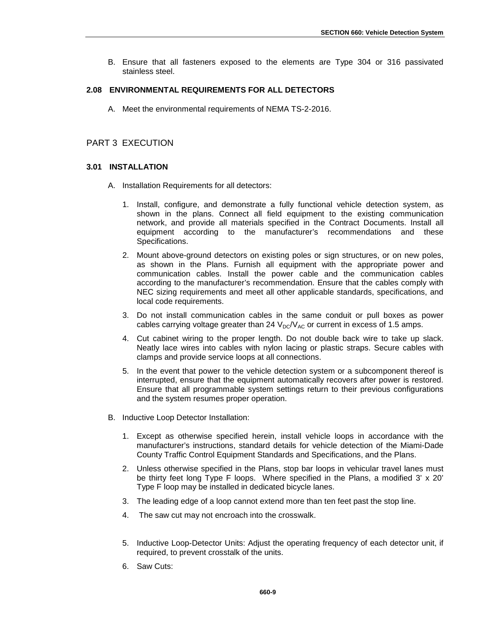B. Ensure that all fasteners exposed to the elements are Type 304 or 316 passivated stainless steel.

# **2.08 ENVIRONMENTAL REQUIREMENTS FOR ALL DETECTORS**

A. Meet the environmental requirements of NEMA TS-2-2016.

# PART 3 EXECUTION

# **3.01 INSTALLATION**

- A. Installation Requirements for all detectors:
	- 1. Install, configure, and demonstrate a fully functional vehicle detection system, as shown in the plans. Connect all field equipment to the existing communication network, and provide all materials specified in the Contract Documents. Install all equipment according to the manufacturer's recommendations and these Specifications.
	- 2. Mount above-ground detectors on existing poles or sign structures, or on new poles, as shown in the Plans. Furnish all equipment with the appropriate power and communication cables. Install the power cable and the communication cables according to the manufacturer's recommendation. Ensure that the cables comply with NEC sizing requirements and meet all other applicable standards, specifications, and local code requirements.
	- 3. Do not install communication cables in the same conduit or pull boxes as power cables carrying voltage greater than 24  $V_{DC}/V_{AC}$  or current in excess of 1.5 amps.
	- 4. Cut cabinet wiring to the proper length. Do not double back wire to take up slack. Neatly lace wires into cables with nylon lacing or plastic straps. Secure cables with clamps and provide service loops at all connections.
	- 5. In the event that power to the vehicle detection system or a subcomponent thereof is interrupted, ensure that the equipment automatically recovers after power is restored. Ensure that all programmable system settings return to their previous configurations and the system resumes proper operation.
- B. Inductive Loop Detector Installation:
	- 1. Except as otherwise specified herein, install vehicle loops in accordance with the manufacturer's instructions, standard details for vehicle detection of the Miami-Dade County Traffic Control Equipment Standards and Specifications, and the Plans.
	- 2. Unless otherwise specified in the Plans, stop bar loops in vehicular travel lanes must be thirty feet long Type F loops. Where specified in the Plans, a modified 3' x 20' Type F loop may be installed in dedicated bicycle lanes.
	- 3. The leading edge of a loop cannot extend more than ten feet past the stop line.
	- 4. The saw cut may not encroach into the crosswalk.
	- 5. Inductive Loop-Detector Units: Adjust the operating frequency of each detector unit, if required, to prevent crosstalk of the units.
	- 6. Saw Cuts: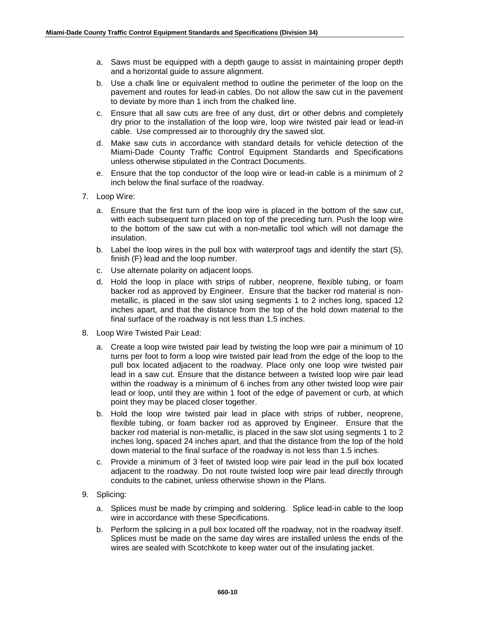- a. Saws must be equipped with a depth gauge to assist in maintaining proper depth and a horizontal guide to assure alignment.
- b. Use a chalk line or equivalent method to outline the perimeter of the loop on the pavement and routes for lead-in cables. Do not allow the saw cut in the pavement to deviate by more than 1 inch from the chalked line.
- c. Ensure that all saw cuts are free of any dust, dirt or other debris and completely dry prior to the installation of the loop wire, loop wire twisted pair lead or lead-in cable. Use compressed air to thoroughly dry the sawed slot.
- d. Make saw cuts in accordance with standard details for vehicle detection of the Miami-Dade County Traffic Control Equipment Standards and Specifications unless otherwise stipulated in the Contract Documents.
- e. Ensure that the top conductor of the loop wire or lead-in cable is a minimum of 2 inch below the final surface of the roadway.
- 7. Loop Wire:
	- a. Ensure that the first turn of the loop wire is placed in the bottom of the saw cut, with each subsequent turn placed on top of the preceding turn. Push the loop wire to the bottom of the saw cut with a non-metallic tool which will not damage the insulation.
	- b. Label the loop wires in the pull box with waterproof tags and identify the start (S), finish (F) lead and the loop number.
	- c. Use alternate polarity on adjacent loops.
	- d. Hold the loop in place with strips of rubber, neoprene, flexible tubing, or foam backer rod as approved by Engineer. Ensure that the backer rod material is nonmetallic, is placed in the saw slot using segments 1 to 2 inches long, spaced 12 inches apart, and that the distance from the top of the hold down material to the final surface of the roadway is not less than 1.5 inches.
- 8. Loop Wire Twisted Pair Lead:
	- a. Create a loop wire twisted pair lead by twisting the loop wire pair a minimum of 10 turns per foot to form a loop wire twisted pair lead from the edge of the loop to the pull box located adjacent to the roadway. Place only one loop wire twisted pair lead in a saw cut. Ensure that the distance between a twisted loop wire pair lead within the roadway is a minimum of 6 inches from any other twisted loop wire pair lead or loop, until they are within 1 foot of the edge of pavement or curb, at which point they may be placed closer together.
	- b. Hold the loop wire twisted pair lead in place with strips of rubber, neoprene, flexible tubing, or foam backer rod as approved by Engineer. Ensure that the backer rod material is non-metallic, is placed in the saw slot using segments 1 to 2 inches long, spaced 24 inches apart, and that the distance from the top of the hold down material to the final surface of the roadway is not less than 1.5 inches.
	- c. Provide a minimum of 3 feet of twisted loop wire pair lead in the pull box located adjacent to the roadway. Do not route twisted loop wire pair lead directly through conduits to the cabinet, unless otherwise shown in the Plans.
- 9. Splicing:
	- a. Splices must be made by crimping and soldering. Splice lead-in cable to the loop wire in accordance with these Specifications.
	- b. Perform the splicing in a pull box located off the roadway, not in the roadway itself. Splices must be made on the same day wires are installed unless the ends of the wires are sealed with Scotchkote to keep water out of the insulating jacket.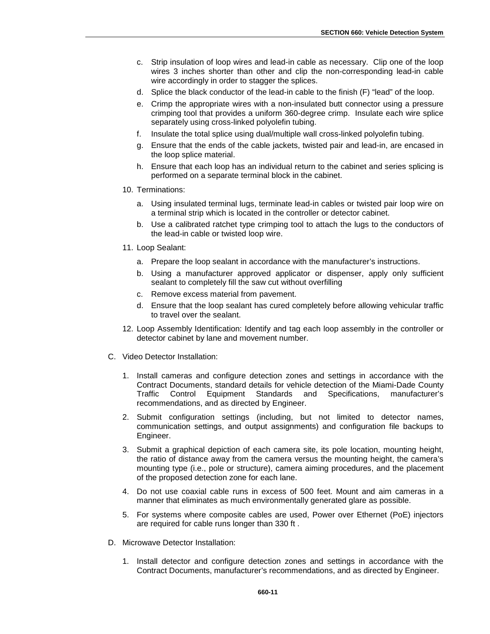- c. Strip insulation of loop wires and lead-in cable as necessary. Clip one of the loop wires 3 inches shorter than other and clip the non-corresponding lead-in cable wire accordingly in order to stagger the splices.
- d. Splice the black conductor of the lead-in cable to the finish (F) "lead" of the loop.
- e. Crimp the appropriate wires with a non-insulated butt connector using a pressure crimping tool that provides a uniform 360-degree crimp. Insulate each wire splice separately using cross-linked polyolefin tubing.
- f. Insulate the total splice using dual/multiple wall cross-linked polyolefin tubing.
- g. Ensure that the ends of the cable jackets, twisted pair and lead-in, are encased in the loop splice material.
- h. Ensure that each loop has an individual return to the cabinet and series splicing is performed on a separate terminal block in the cabinet.
- 10. Terminations:
	- a. Using insulated terminal lugs, terminate lead-in cables or twisted pair loop wire on a terminal strip which is located in the controller or detector cabinet.
	- b. Use a calibrated ratchet type crimping tool to attach the lugs to the conductors of the lead-in cable or twisted loop wire.
- 11. Loop Sealant:
	- a. Prepare the loop sealant in accordance with the manufacturer's instructions.
	- b. Using a manufacturer approved applicator or dispenser, apply only sufficient sealant to completely fill the saw cut without overfilling
	- c. Remove excess material from pavement.
	- d. Ensure that the loop sealant has cured completely before allowing vehicular traffic to travel over the sealant.
- 12. Loop Assembly Identification: Identify and tag each loop assembly in the controller or detector cabinet by lane and movement number.
- C. Video Detector Installation:
	- 1. Install cameras and configure detection zones and settings in accordance with the Contract Documents, standard details for vehicle detection of the Miami-Dade County Traffic Control Equipment Standards and Specifications, manufacturer's recommendations, and as directed by Engineer.
	- 2. Submit configuration settings (including, but not limited to detector names, communication settings, and output assignments) and configuration file backups to Engineer.
	- 3. Submit a graphical depiction of each camera site, its pole location, mounting height, the ratio of distance away from the camera versus the mounting height, the camera's mounting type (i.e., pole or structure), camera aiming procedures, and the placement of the proposed detection zone for each lane.
	- 4. Do not use coaxial cable runs in excess of 500 feet. Mount and aim cameras in a manner that eliminates as much environmentally generated glare as possible.
	- 5. For systems where composite cables are used, Power over Ethernet (PoE) injectors are required for cable runs longer than 330 ft .
- D. Microwave Detector Installation:
	- 1. Install detector and configure detection zones and settings in accordance with the Contract Documents, manufacturer's recommendations, and as directed by Engineer.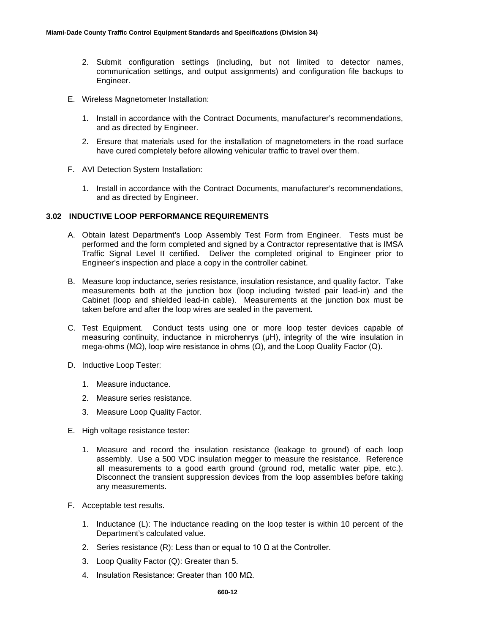- 2. Submit configuration settings (including, but not limited to detector names, communication settings, and output assignments) and configuration file backups to Engineer.
- E. Wireless Magnetometer Installation:
	- 1. Install in accordance with the Contract Documents, manufacturer's recommendations, and as directed by Engineer.
	- 2. Ensure that materials used for the installation of magnetometers in the road surface have cured completely before allowing vehicular traffic to travel over them.
- F. AVI Detection System Installation:
	- 1. Install in accordance with the Contract Documents, manufacturer's recommendations, and as directed by Engineer.

# **3.02 INDUCTIVE LOOP PERFORMANCE REQUIREMENTS**

- A. Obtain latest Department's Loop Assembly Test Form from Engineer. Tests must be performed and the form completed and signed by a Contractor representative that is IMSA Traffic Signal Level II certified. Deliver the completed original to Engineer prior to Engineer's inspection and place a copy in the controller cabinet.
- B. Measure loop inductance, series resistance, insulation resistance, and quality factor. Take measurements both at the junction box (loop including twisted pair lead-in) and the Cabinet (loop and shielded lead-in cable). Measurements at the junction box must be taken before and after the loop wires are sealed in the pavement.
- C. Test Equipment. Conduct tests using one or more loop tester devices capable of measuring continuity, inductance in microhenrys (μH), integrity of the wire insulation in mega-ohms (MΩ), loop wire resistance in ohms ( $Ω$ ), and the Loop Quality Factor (Q).
- D. Inductive Loop Tester:
	- 1. Measure inductance.
	- 2. Measure series resistance.
	- 3. Measure Loop Quality Factor.
- E. High voltage resistance tester:
	- 1. Measure and record the insulation resistance (leakage to ground) of each loop assembly. Use a 500 VDC insulation megger to measure the resistance. Reference all measurements to a good earth ground (ground rod, metallic water pipe, etc.). Disconnect the transient suppression devices from the loop assemblies before taking any measurements.
- F. Acceptable test results.
	- 1. Inductance (L): The inductance reading on the loop tester is within 10 percent of the Department's calculated value.
	- 2. Series resistance (R): Less than or equal to 10  $\Omega$  at the Controller.
	- 3. Loop Quality Factor (Q): Greater than 5.
	- 4. Insulation Resistance: Greater than 100 MΩ.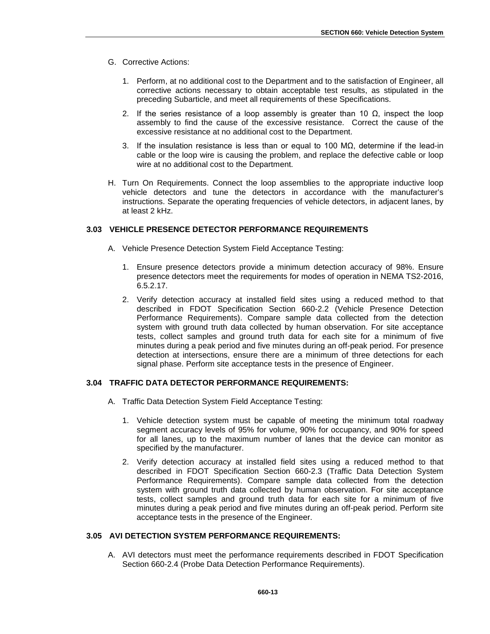- G. Corrective Actions:
	- 1. Perform, at no additional cost to the Department and to the satisfaction of Engineer, all corrective actions necessary to obtain acceptable test results, as stipulated in the preceding Subarticle, and meet all requirements of these Specifications.
	- 2. If the series resistance of a loop assembly is greater than 10  $Ω$ , inspect the loop assembly to find the cause of the excessive resistance. Correct the cause of the excessive resistance at no additional cost to the Department.
	- 3. If the insulation resistance is less than or equal to 100 M $\Omega$ , determine if the lead-in cable or the loop wire is causing the problem, and replace the defective cable or loop wire at no additional cost to the Department.
- H. Turn On Requirements. Connect the loop assemblies to the appropriate inductive loop vehicle detectors and tune the detectors in accordance with the manufacturer's instructions. Separate the operating frequencies of vehicle detectors, in adjacent lanes, by at least 2 kHz.

# **3.03 VEHICLE PRESENCE DETECTOR PERFORMANCE REQUIREMENTS**

- A. Vehicle Presence Detection System Field Acceptance Testing:
	- 1. Ensure presence detectors provide a minimum detection accuracy of 98%. Ensure presence detectors meet the requirements for modes of operation in NEMA TS2-2016, 6.5.2.17.
	- 2. Verify detection accuracy at installed field sites using a reduced method to that described in FDOT Specification Section 660-2.2 (Vehicle Presence Detection Performance Requirements). Compare sample data collected from the detection system with ground truth data collected by human observation. For site acceptance tests, collect samples and ground truth data for each site for a minimum of five minutes during a peak period and five minutes during an off-peak period. For presence detection at intersections, ensure there are a minimum of three detections for each signal phase. Perform site acceptance tests in the presence of Engineer.

# **3.04 TRAFFIC DATA DETECTOR PERFORMANCE REQUIREMENTS:**

- A. Traffic Data Detection System Field Acceptance Testing:
	- 1. Vehicle detection system must be capable of meeting the minimum total roadway segment accuracy levels of 95% for volume, 90% for occupancy, and 90% for speed for all lanes, up to the maximum number of lanes that the device can monitor as specified by the manufacturer.
	- 2. Verify detection accuracy at installed field sites using a reduced method to that described in FDOT Specification Section 660-2.3 (Traffic Data Detection System Performance Requirements). Compare sample data collected from the detection system with ground truth data collected by human observation. For site acceptance tests, collect samples and ground truth data for each site for a minimum of five minutes during a peak period and five minutes during an off-peak period. Perform site acceptance tests in the presence of the Engineer.

### **3.05 AVI DETECTION SYSTEM PERFORMANCE REQUIREMENTS:**

A. AVI detectors must meet the performance requirements described in FDOT Specification Section 660-2.4 (Probe Data Detection Performance Requirements).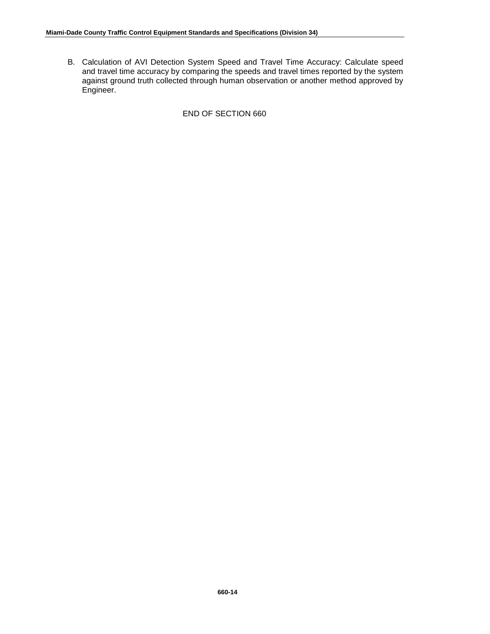B. Calculation of AVI Detection System Speed and Travel Time Accuracy: Calculate speed and travel time accuracy by comparing the speeds and travel times reported by the system against ground truth collected through human observation or another method approved by Engineer.

END OF SECTION 660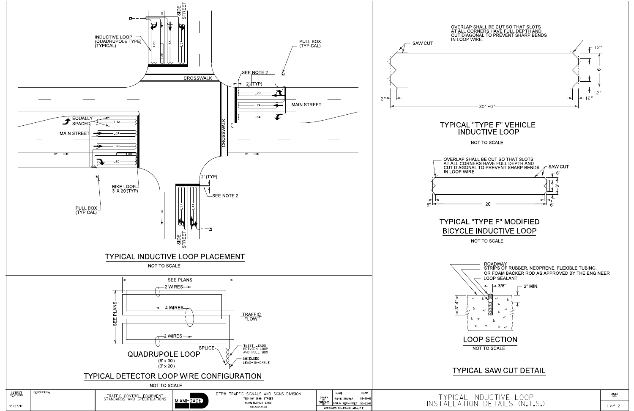

SHEET<br>NO.  $1 of 2$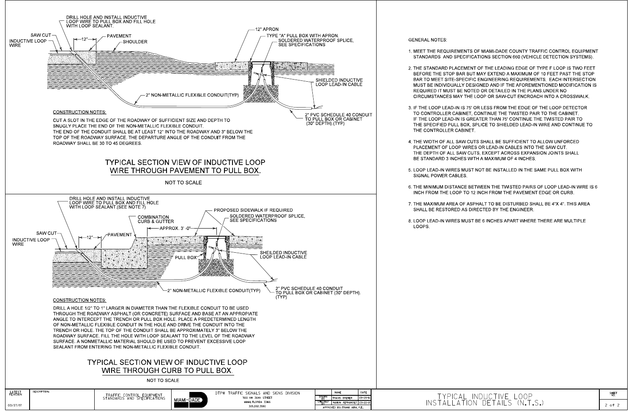

# 1. MEET THE REQUIREMENTS OF MIAMI-DADE COUNTY TRAFFIC CONTROL EQUIPMENT STANDARDS AND SPECIFICATIONS SECTION 660 (VEHICLE DETECTION SYSTEMS).

2. THE STANDARD PLACEMENT OF THE LEADING EDGE OF TYPE F LOOP IS TWO FEET BEFORE THE STOP BAR BUT MAY EXTEND A MAXIMUM OF 10 FEET PAST THE STOP BAR TO MEET SITE-SPECIFIC ENGINEERING REQUIREMENTS. EACH INTERSECTION MUST BE INDIVIDUALLY DESIGNED AND IF THE AFOREMENTIONED MODIFICATION IS REQUIRED IT MUST BE NOTED OR DETAILED IN THE PLANS UNDER NO CIRCUMSTANCES MAY THE LOOP OR SAW-CUT ENCROACH INTO A CROSSWALK.

3. IF THE LOOP LEAD-IN IS 75' OR LESS FROM THE EDGE OF THE LOOP DETECTOR TO CONTROLLER CABINET, CONTINUE THE TWISTED PAIR TO THE CABINET. IF THE LOOP LEAD-IN IS GREATER THAN 75' CONTINUE THE TWISTED PAIR TO THE SPECIFIED PULL BOX, SPLICE TO SHIELDED LEAD-IN WIRE AND CONTINUE TO

4. THE WIDTH OF ALL SAW CUTS SHALL BE SUFFICIENT TO ALLOW UNFORCED PLACEMENT OF LOOP WIRES OR LEAD-IN CABLES INTO THE SAW CUT. THE DEPTH OF ALL SAW CUTS, EXCEPT ACROSS EXPANSION JOINTS SHALL BE STANDARD 3 INCHES WITH A MAXIMUM OF 4 INCHES.

5. LOOP LEAD-IN WIRES MUST NOT BE INSTALLED IN THE SAME PULL BOX WITH

6. THE MINIMUM DISTANCE BETWEEN THE TWISTED PAIRS OF LOOP LEAD-IN WIRE IS 6 INCH FROM THE LOOP TO 12 INCH FROM THE PAVEMENT EDGE OR CURB.

7. THE MAXIMUM AREA OF ASPHALT TO BE DISTURBED SHALL BE 4"X 4". THIS AREA SHALL BE RESTORED AS DIRECTED BY THE ENGINEER.

8. LOOP LEAD-IN WIRES MUST BE 6 INCHES APART WHERE THERE ARE MULTIPLE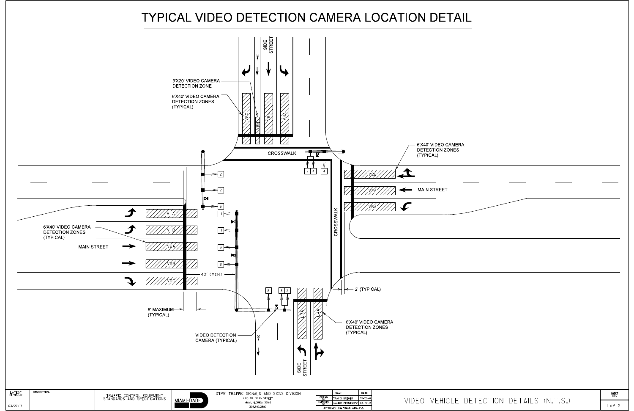# TYPICAL VIDEO DETECTION CAMERA LOCATION DETAIL



| DETECTION DETAILS (N.T.S.) |  | SHEET<br>NO. |
|----------------------------|--|--------------|
|                            |  |              |
|                            |  |              |
|                            |  |              |
|                            |  |              |
|                            |  |              |
|                            |  |              |
|                            |  |              |
|                            |  |              |
|                            |  |              |
|                            |  |              |
|                            |  |              |
|                            |  |              |
|                            |  |              |
|                            |  |              |
|                            |  |              |
|                            |  |              |
|                            |  |              |
|                            |  |              |
|                            |  |              |
|                            |  |              |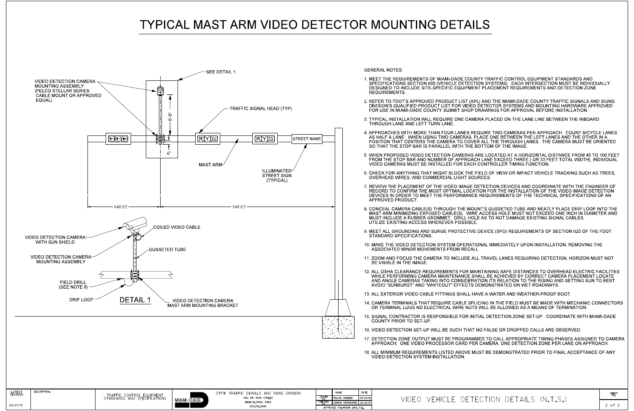# **TYPICAL MAST ARM VIDEO DETECTOR MOUNTING DETAILS**



### **GENERAL NOTES:**

- **REQUIREMENTS.**
- 
- THROUGH LANE AND LEFT TURN LANE.
- SO THAT THE STOP BAR IS PARALLEL WITH THE BOTTOM OF THE IMAGE.
- VIDEO CAMERAS MUST BE INSTALLED FOR EACH CONTROLLER TIMING FUNCTION.
- OVERHEAD WIRES, AND COMMERCIAL LIGHT SOURCES
- APPROVED PRODUCT
- UTILIZE EXISTING ACCESS WHEREVER POSSIBLE.
- **STANDARD SPECIFICATIONS.**
- ASSOCIATED MINOR MOVEMENTS FROM RECALL
- BE VISIBLE IN THE IMAGE.
- AVOID "SUNBURST" AND "WHITEOUT" EFFECTS DEMONSTRATED ON WET ROADWAYS.
- 
- 
- COUNTY PRIOR TO SET UP
- 
- 
- VIDEO DETECTION SYSTEM INSTALLATION.

APPROVED BY FRANK AIRA P.F.

VIDEO VEHICLE DETECTION DETAILS (N.T.S.)

1. MEET THE REQUIREMENTS OF MIAMI-DADE COUNTY TRAFFIC CONTROL EQUIPMENT STANDARDS AND SPECIFICATIONS SECTION 660 (VEHICLE DETECTION SYSTEMS). EACH INTERSECTION MUST BE INDIVIDUALLY DESIGNED TO INCLUDE SITE-SPECIFIC EQUIPMENT PLACEMENT REQUIREMENTS AND DETECTION ZONE

2. REFER TO FDOT'S APPROVED PRODUCT LIST (APL) AND THE MIAMI-DADE COUNTY TRAFFIC SIGNALS AND SIGNS DIVISION'S QUALIFIED PRODUCT LIST FOR VIDEO DETECTOR SYSTEMS AND MOUNTING HARDWARE APPROVED FOR USE IN MIAMI-DADE COUNTY SUBMIT SHOP DRAWINGS FOR APPROVAL BEFORE INSTALLATION.

3. TYPICAL INSTALLATION WILL REQUIRE ONE CAMERA PLACED ON THE LANE LINE BETWEEN THE INBOARD

4. APPROACHES WITH MORE THAN FOUR LANES REQUIRE TWO CAMERAS PER APPROACH. COUNT BICYCLE LANES AS HALF A LANE. WHEN USING TWO CAMERAS, PLACE ONE BETWEEN THE LEFT LANES AND THE OTHER IN A POSITION THAT CENTERS THE CAMERA TO COVER ALL THE THROUGH LANES. THE CAMERA MUST BE ORIENTED

5. WHEN PROPOSED VIDEO DETECTION CAMERAS ARE LOCATED AT A HORIZONTAL DISTANCE FROM 40 TO 100 FEET FROM THE STOP BAR AND NUMBER OF APPROACH LANE EXCEED THREE ( OR 33 FEET TOTAL WIDTH), INDIVIDUAL

6. CHECK FOR ANYTHING THAT MIGHT BLOCK THE FIELD OF VIEW OR IMPACT VEHICLE TRACKING SUCH AS TREES.

7. REVIEW THE PLACEMENT OF THE VIDEO IMAGE DETECTION DEVICES AND COORDINATE WITH THE ENGINEER OF RECORD TO CONFIRM THE MOST OPTIMAL LOCATION FOR THE INSTALLATION OF THE VIDEO IMAGE DETECTION<br>DEVICES IN ORDER TO MEET THE PERFORMANCE REQUIREMENTS OF THE TECHNICAL SPECIFICATIONS OF AN

8. CONCEAL CAMERA CABLE(S) THROUGH THE MOUNT'S GUSSETED TUBE AND NEATLY PLACE DRIP LOOP INTO THE MAST ARM MINIMIZING EXPOSED CABLE(S). WIRE ACCESS HOLE MUST NOT EXCEED ONE INCH IN DIAMETER AND MUST INCLUDE A RUBBER GROMMET. DRILL HOLE AS TO NOT DAMAGE EXISTING SIGNAL CABLES.

9. MEET ALL GROUNDING AND SURGE PROTECTIVE DEVICE (SPD) REQUIREMENTS OF SECTION 620 OF THE FDOT

10. MAKE THE VIDEO DETECTION SYSTEM OPERATIONAL IMMEDIATELY UPON INSTALLATION, REMOVING THE

11. ZOOM AND FOCUS THE CAMERA TO INCLUDE ALL TRAVEL LANES REQUIRING DETECTION. HORIZON MUST NOT

12. ALL OSHA CLEARANCE REQUIREMENTS FOR MAINTAINING SAFE DISTANCES TO OVERHEAD ELECTRIC FACILITIES<br>WHILE PERFORMING CAMERA MAINTENANCE SHALL BE ACHIEVED BY CORRECT CAMERA PLACEMENT.LOCATE<br>AND ANGLE CAMERAS TAKING INTO CONS

13. ALL EXTERIOR VIDEO CABLE FITTINGS SHALL HAVE A WATER AND WEATHER-PROOF BOOT.

14. CAMERA TERMINALS THAT REQUIRE CABLE SPLICING IN THE FIELD MUST BE MADE WITH MECHANIC CONNECTORS OR TERMINAL LUGS NO ELECTRICAL WIRE NUTS WILL BE ALLOWED AS A MEANS OF TERMINATION.

15. SIGNAL CONTRACTOR IS RESPONSIBLE FOR INITIAL DETECTION ZONE SET-UP. COORDINATE WITH MIAMI-DADE

16. VIDEO DETECTION SET-UP WILL BE SUCH THAT NO FALSE OR DROPPED CALLS ARE OBSERVED.

17. DETECTION ZONE OUTPUT MUST BE PROGRAMMED TO CALL APPROPRIATE TIMING PHASES ASSIGNED TO CAMERA APPROACH. ONE VIDEO PROCESSOR CARD PER CAMERA. ONE DETECTION ZONE PER LANE ON APPROACH.

18. ALL MINIMUM REQUIREMENTS LISTED ABOVE MUST BE DEMONSTRATED PRIOR TO FINAL ACCEPTANCE OF ANY

SHEET<br>NO.